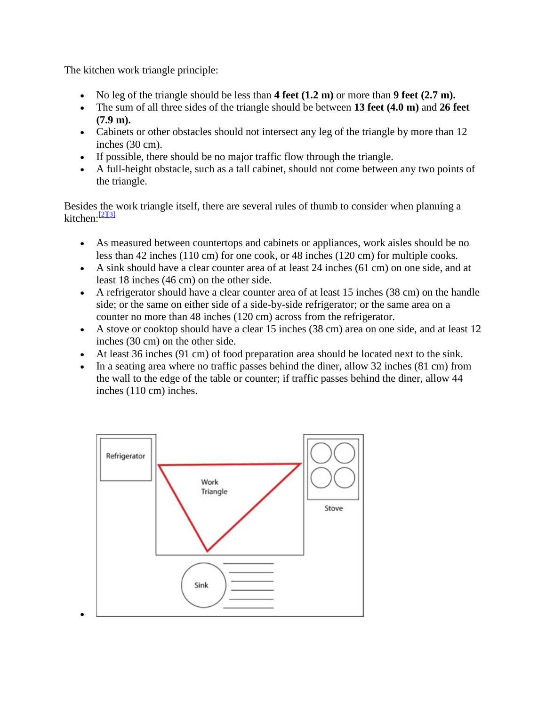The kitchen work triangle principle:

- No leg of the triangle should be less than  $4$  feet  $(1.2 \text{ m})$  or more than  $9$  feet  $(2.7 \text{ m})$ .
- The sum of all three sides of the triangle should be between **13 feet (4.0 m)** and **26 feet (7.9 m).**
- Cabinets or other obstacles should not intersect any leg of the triangle by more than 12 inches (30 cm).
- If possible, there should be no major traffic flow through the triangle.
- A full-height obstacle, such as a tall cabinet, should not come between any two points of the triangle.

Besides the work triangle itself, there are several rules of thumb to consider when planning a kitchen:<sup>[\[2\]\[3\]](http://en.wikipedia.org/wiki/Kitchen_work_triangle#cite_note-kohler-2)</sup>

- As measured between countertops and cabinets or appliances, work aisles should be no less than 42 inches (110 cm) for one cook, or 48 inches (120 cm) for multiple cooks.
- A sink should have a clear counter area of at least 24 inches (61 cm) on one side, and at least 18 inches (46 cm) on the other side.
- A refrigerator should have a clear counter area of at least 15 inches (38 cm) on the handle side; or the same on either side of a side-by-side refrigerator; or the same area on a counter no more than 48 inches (120 cm) across from the refrigerator.
- A stove or cooktop should have a clear 15 inches (38 cm) area on one side, and at least 12 inches (30 cm) on the other side.
- At least 36 inches (91 cm) of food preparation area should be located next to the sink.
- In a seating area where no traffic passes behind the diner, allow 32 inches (81 cm) from the wall to the edge of the table or counter; if traffic passes behind the diner, allow 44 inches (110 cm) inches.